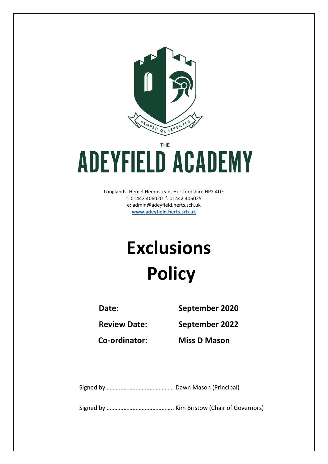

THE

# **ADEYFIELD ACADEMY**

Longlands, Hemel Hempstead, Hertfordshire HP2 4DE t: 01442 406020 f: 01442 406025 e: [admin@adeyfield.herts.sch.uk](mailto:admin@adeyfield.herts.sch.uk) **[www.adeyfield.herts.sch.uk](http://www.adeyfield.herts.sch.uk/)**

# **Exclusions Policy**

**Date: September 2020**

**Review Date: September 2022**

**Co-ordinator: Miss D Mason**

Signed by………………………..……………. Dawn Mason (Principal)

Signed by……………………….…………….. Kim Bristow (Chair of Governors)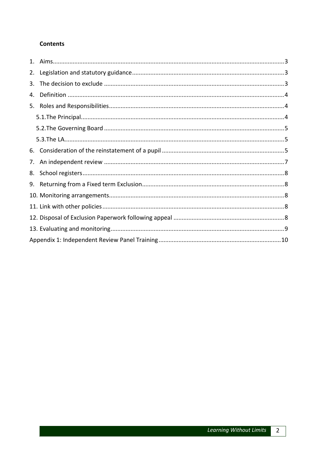# **Contents**

| 2. |  |
|----|--|
| 3. |  |
| 4. |  |
| 5. |  |
|    |  |
|    |  |
|    |  |
| 6. |  |
| 7. |  |
| 8. |  |
|    |  |
|    |  |
|    |  |
|    |  |
|    |  |
|    |  |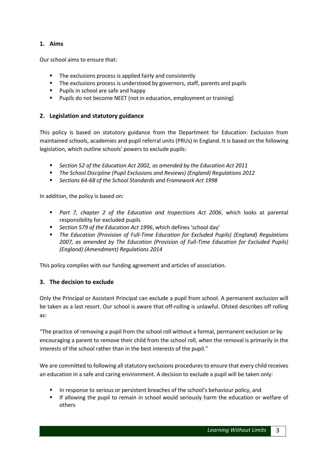# <span id="page-2-0"></span>**1. Aims**

Our school aims to ensure that:

- The exclusions process is applied fairly and consistently
- The exclusions process is understood by governors, staff, parents and pupils
- **Pupils in school are safe and happy**
- **Pupils do not become NEET** (not in education, employment or training)

#### <span id="page-2-1"></span>**2. Legislation and statutory guidance**

This policy is based on statutory guidance from the Department for Education: Exclusion from maintained schools, academies and pupil referral units (PRUs) in England. It is based on the following legislation, which outline schools' powers to exclude pupils:

- *Section 52 of the Education Act 2002, as amended by the Education Act 2011*
- *The School Discipline (Pupil Exclusions and Reviews) (England) Regulations 2012*
- *Sections 64-68 of the School Standards and Framework Act 1998*

In addition, the policy is based on:

- *Part 7, chapter 2 of the Education and Inspections Act 2006*, which looks at parental responsibility for excluded pupils
- *Section 579 of the Education Act 1996*, which defines 'school day'
- *The Education (Provision of Full-Time Education for Excluded Pupils) (England) Regulations 2007, as amended by The Education (Provision of Full-Time Education for Excluded Pupils) (England) (Amendment) Regulations 2014*

This policy complies with our funding agreement and articles of association.

#### <span id="page-2-2"></span>**3. The decision to exclude**

Only the Principal or Assistant Principal can exclude a pupil from school. A permanent exclusion will be taken as a last resort. Our school is aware that off-rolling is unlawful. Ofsted describes off rolling as:

"The practice of removing a pupil from the school roll without a formal, permanent exclusion or by encouraging a parent to remove their child from the school roll, when the removal is primarily in the interests of the school rather than in the best interests of the pupil."

We are committed to following all statutory exclusions procedures to ensure that every child receives an education in a safe and caring environment. A decision to exclude a pupil will be taken only:

- In response to serious or persistent breaches of the school's behaviour policy, and
- If allowing the pupil to remain in school would seriously harm the education or welfare of others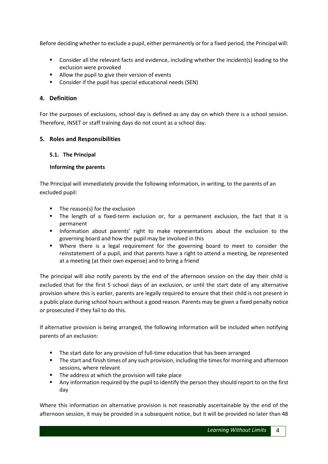Before deciding whether to exclude a pupil, either permanently or for a fixed period, the Principal will:

- Consider all the relevant facts and evidence, including whether the incident(s) leading to the exclusion were provoked
- **Allow the pupil to give their version of events**
- Consider if the pupil has special educational needs (SEN)

#### <span id="page-3-0"></span>**4. Definition**

For the purposes of exclusions, school day is defined as any day on which there is a school session. Therefore, INSET or staff training days do not count as a school day.

#### <span id="page-3-1"></span>**5. Roles and Responsibilities**

#### <span id="page-3-2"></span>**5.1. The Principal**

#### **Informing the parents**

The Principal will immediately provide the following information, in writing, to the parents of an excluded pupil:

- $\blacksquare$  The reason(s) for the exclusion
- The length of a fixed-term exclusion or, for a permanent exclusion, the fact that it is permanent
- **Information about parents' right to make representations about the exclusion to the** governing board and how the pupil may be involved in this
- Where there is a legal requirement for the governing board to meet to consider the reinstatement of a pupil, and that parents have a right to attend a meeting, be represented at a meeting (at their own expense) and to bring a friend

The principal will also notify parents by the end of the afternoon session on the day their child is excluded that for the first 5 school days of an exclusion, or until the start date of any alternative provision where this is earlier, parents are legally required to ensure that their child is not present in a public place during school hours without a good reason. Parents may be given a fixed penalty notice or prosecuted if they fail to do this.

If alternative provision is being arranged, the following information will be included when notifying parents of an exclusion:

- The start date for any provision of full-time education that has been arranged
- **The start and finish times of any such provision, including the times for morning and afternoon** sessions, where relevant
- The address at which the provision will take place
- Any information required by the pupil to identify the person they should report to on the first day

Where this information on alternative provision is not reasonably ascertainable by the end of the afternoon session, it may be provided in a subsequent notice, but it will be provided no later than 48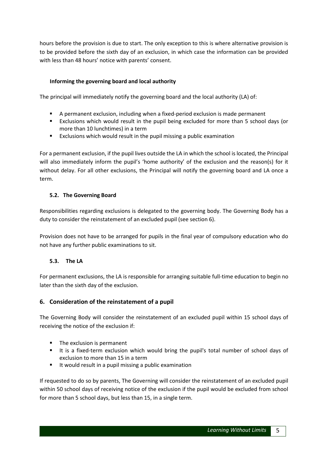hours before the provision is due to start. The only exception to this is where alternative provision is to be provided before the sixth day of an exclusion, in which case the information can be provided with less than 48 hours' notice with parents' consent.

#### **Informing the governing board and local authority**

The principal will immediately notify the governing board and the local authority (LA) of:

- A permanent exclusion, including when a fixed-period exclusion is made permanent
- Exclusions which would result in the pupil being excluded for more than 5 school days (or more than 10 lunchtimes) in a term
- Exclusions which would result in the pupil missing a public examination

For a permanent exclusion, if the pupil lives outside the LA in which the school is located, the Principal will also immediately inform the pupil's 'home authority' of the exclusion and the reason(s) for it without delay. For all other exclusions, the Principal will notify the governing board and LA once a term.

#### <span id="page-4-0"></span>**5.2. The Governing Board**

Responsibilities regarding exclusions is delegated to the governing body. The Governing Body has a duty to consider the reinstatement of an excluded pupil (see section 6).

Provision does not have to be arranged for pupils in the final year of compulsory education who do not have any further public examinations to sit.

#### <span id="page-4-1"></span>**5.3. The LA**

For permanent exclusions, the LA is responsible for arranging suitable full-time education to begin no later than the sixth day of the exclusion.

# <span id="page-4-2"></span>**6. Consideration of the reinstatement of a pupil**

The Governing Body will consider the reinstatement of an excluded pupil within 15 school days of receiving the notice of the exclusion if:

- **The exclusion is permanent**
- It is a fixed-term exclusion which would bring the pupil's total number of school days of exclusion to more than 15 in a term
- It would result in a pupil missing a public examination

If requested to do so by parents, The Governing will consider the reinstatement of an excluded pupil within 50 school days of receiving notice of the exclusion if the pupil would be excluded from school for more than 5 school days, but less than 15, in a single term.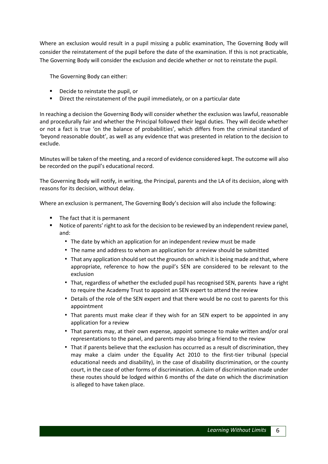Where an exclusion would result in a pupil missing a public examination, The Governing Body will consider the reinstatement of the pupil before the date of the examination. If this is not practicable, The Governing Body will consider the exclusion and decide whether or not to reinstate the pupil.

The Governing Body can either:

- Decide to reinstate the pupil, or
- Direct the reinstatement of the pupil immediately, or on a particular date

In reaching a decision the Governing Body will consider whether the exclusion was lawful, reasonable and procedurally fair and whether the Principal followed their legal duties. They will decide whether or not a fact is true 'on the balance of probabilities', which differs from the criminal standard of 'beyond reasonable doubt', as well as any evidence that was presented in relation to the decision to exclude.

Minutes will be taken of the meeting, and a record of evidence considered kept. The outcome will also be recorded on the pupil's educational record.

The Governing Body will notify, in writing, the Principal, parents and the LA of its decision, along with reasons for its decision, without delay.

Where an exclusion is permanent, The Governing Body's decision will also include the following:

- The fact that it is permanent
- <span id="page-5-0"></span>**Notice of parents' right to ask for the decision to be reviewed by an independent review panel,** and:
	- The date by which an application for an independent review must be made
	- The name and address to whom an application for a review should be submitted
	- **That any application should set out the grounds on which it is being made and that, where** appropriate, reference to how the pupil's SEN are considered to be relevant to the exclusion
	- That, regardless of whether the excluded pupil has recognised SEN, parents have a right to require the Academy Trust to appoint an SEN expert to attend the review
	- **Details of the role of the SEN expert and that there would be no cost to parents for this** appointment
	- That parents must make clear if they wish for an SEN expert to be appointed in any application for a review
	- That parents may, at their own expense, appoint someone to make written and/or oral representations to the panel, and parents may also bring a friend to the review
	- **•** That if parents believe that the exclusion has occurred as a result of discrimination, they may make a claim under the Equality Act 2010 to the first-tier tribunal (special educational needs and disability), in the case of disability discrimination, or the county court, in the case of other forms of discrimination. A claim of discrimination made under these routes should be lodged within 6 months of the date on which the discrimination is alleged to have taken place.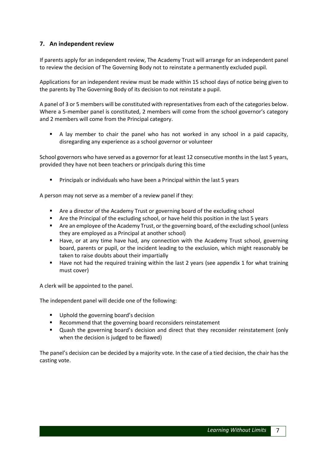# **7. An independent review**

If parents apply for an independent review, The Academy Trust will arrange for an independent panel to review the decision of The Governing Body not to reinstate a permanently excluded pupil.

Applications for an independent review must be made within 15 school days of notice being given to the parents by The Governing Body of its decision to not reinstate a pupil.

A panel of 3 or 5 members will be constituted with representatives from each of the categories below. Where a 5-member panel is constituted, 2 members will come from the school governor's category and 2 members will come from the Principal category.

 A lay member to chair the panel who has not worked in any school in a paid capacity, disregarding any experience as a school governor or volunteer

School governors who have served as a governor for at least 12 consecutive months in the last 5 years, provided they have not been teachers or principals during this time

**Principals or individuals who have been a Principal within the last 5 years** 

A person may not serve as a member of a review panel if they:

- **EXTER Are a director of the Academy Trust or governing board of the excluding school**
- Are the Principal of the excluding school, or have held this position in the last 5 years
- **F** Are an employee of the Academy Trust, or the governing board, of the excluding school (unless they are employed as a Principal at another school)
- Have, or at any time have had, any connection with the Academy Trust school, governing board, parents or pupil, or the incident leading to the exclusion, which might reasonably be taken to raise doubts about their impartially
- Have not had the required training within the last 2 years (see appendix 1 for what training must cover)

A clerk will be appointed to the panel.

The independent panel will decide one of the following:

- Uphold the governing board's decision
- Recommend that the governing board reconsiders reinstatement
- Quash the governing board's decision and direct that they reconsider reinstatement (only when the decision is judged to be flawed)

<span id="page-6-0"></span>The panel's decision can be decided by a majority vote. In the case of a tied decision, the chair has the casting vote.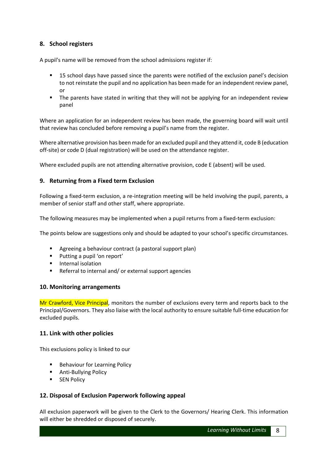### **8. School registers**

A pupil's name will be removed from the school admissions register if:

- 15 school days have passed since the parents were notified of the exclusion panel's decision to not reinstate the pupil and no application has been made for an independent review panel, or
- **The parents have stated in writing that they will not be applying for an independent review** panel

Where an application for an independent review has been made, the governing board will wait until that review has concluded before removing a pupil's name from the register.

Where alternative provision has been made for an excluded pupil and they attend it, code B (education off-site) or code D (dual registration) will be used on the attendance register.

Where excluded pupils are not attending alternative provision, code E (absent) will be used.

#### <span id="page-7-0"></span>**9. Returning from a Fixed term Exclusion**

Following a fixed-term exclusion, a re-integration meeting will be held involving the pupil, parents, a member of senior staff and other staff, where appropriate.

The following measures may be implemented when a pupil returns from a fixed-term exclusion:

The points below are suggestions only and should be adapted to your school's specific circumstances.

- Agreeing a behaviour contract (a pastoral support plan)
- **Putting a pupil 'on report'**
- **Internal isolation**
- Referral to internal and/ or external support agencies

#### <span id="page-7-1"></span>**10. Monitoring arrangements**

Mr Crawford, Vice Principal, monitors the number of exclusions every term and reports back to the Principal/Governors. They also liaise with the local authority to ensure suitable full-time education for excluded pupils.

#### <span id="page-7-2"></span>**11. Link with other policies**

This exclusions policy is linked to our

- **Behaviour for Learning Policy**
- **Anti-Bullying Policy**
- **SEN Policy**

#### <span id="page-7-3"></span>**12. Disposal of Exclusion Paperwork following appeal**

All exclusion paperwork will be given to the Clerk to the Governors/ Hearing Clerk. This information will either be shredded or disposed of securely.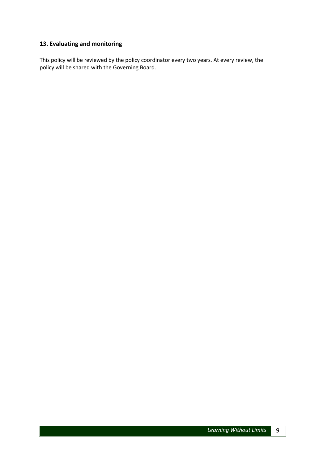# <span id="page-8-0"></span>**13. Evaluating and monitoring**

This policy will be reviewed by the policy coordinator every two years. At every review, the policy will be shared with the Governing Board.